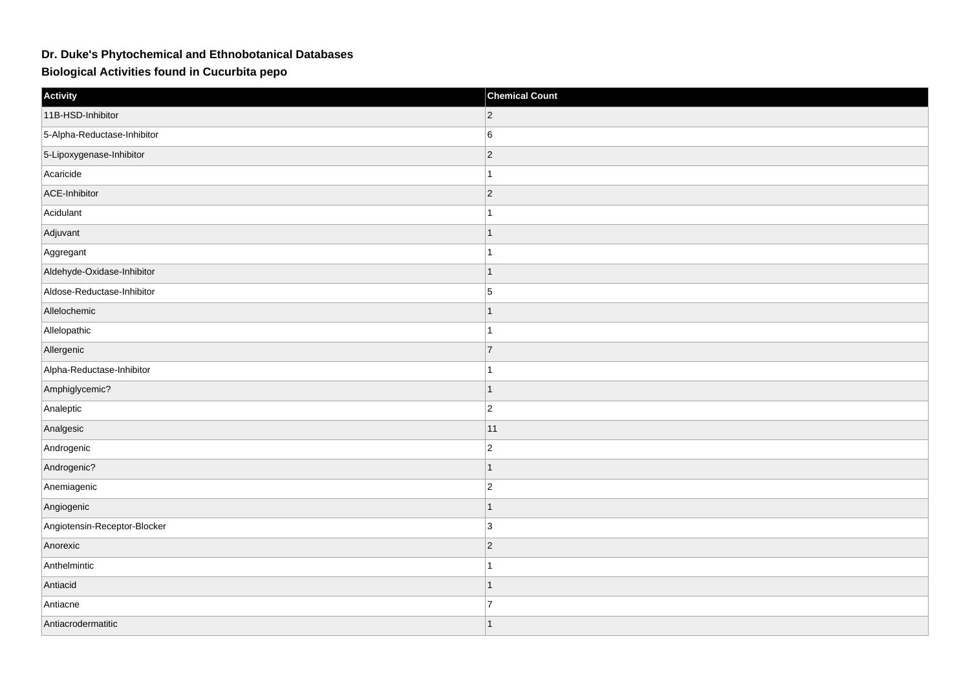## **Dr. Duke's Phytochemical and Ethnobotanical Databases**

**Biological Activities found in Cucurbita pepo**

| Activity                     | <b>Chemical Count</b> |
|------------------------------|-----------------------|
| 11B-HSD-Inhibitor            | $ 2\rangle$           |
| 5-Alpha-Reductase-Inhibitor  | 6                     |
| 5-Lipoxygenase-Inhibitor     | $ 2\rangle$           |
| Acaricide                    | 1                     |
| ACE-Inhibitor                | $ 2\rangle$           |
| Acidulant                    | 1                     |
| Adjuvant                     | 1                     |
| Aggregant                    | 1                     |
| Aldehyde-Oxidase-Inhibitor   | $\mathbf{1}$          |
| Aldose-Reductase-Inhibitor   | 5                     |
| Allelochemic                 | 1                     |
| Allelopathic                 | 1                     |
| Allergenic                   | 7                     |
| Alpha-Reductase-Inhibitor    | 1                     |
| Amphiglycemic?               | $\overline{1}$        |
| Analeptic                    | $ 2\rangle$           |
| Analgesic                    | 11                    |
| Androgenic                   | $\overline{2}$        |
| Androgenic?                  | $\mathbf{1}$          |
| Anemiagenic                  | $\vert$ 2             |
| Angiogenic                   | $\overline{1}$        |
| Angiotensin-Receptor-Blocker | 3                     |
| Anorexic                     | $ 2\rangle$           |
| Anthelmintic                 | 1                     |
| Antiacid                     | $\mathbf{1}$          |
| Antiacne                     | $\overline{7}$        |
| Antiacrodermatitic           | $\mathbf{1}$          |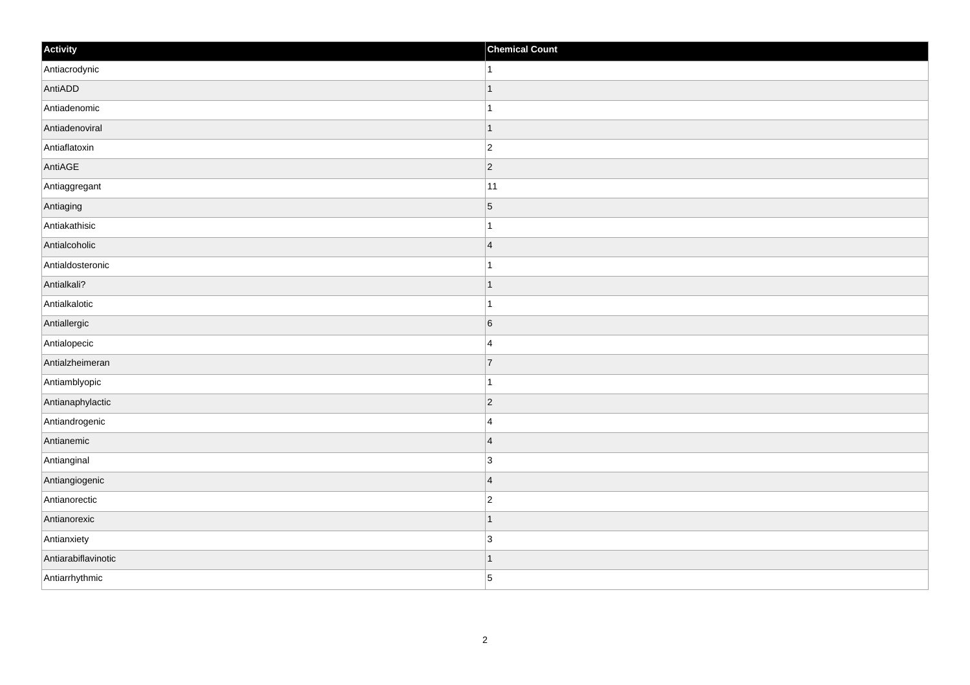| Activity            | <b>Chemical Count</b>    |
|---------------------|--------------------------|
| Antiacrodynic       | 1.                       |
| AntiADD             | 1                        |
| Antiadenomic        |                          |
| Antiadenoviral      | $\vert$ 1                |
| Antiaflatoxin       | $\overline{2}$           |
| AntiAGE             | 2                        |
| Antiaggregant       | 11                       |
| Antiaging           | $\overline{5}$           |
| Antiakathisic       |                          |
| Antialcoholic       | $\overline{4}$           |
| Antialdosteronic    | 1                        |
| Antialkali?         | -1                       |
| Antialkalotic       |                          |
| Antiallergic        | 6                        |
| Antialopecic        | $\overline{4}$           |
| Antialzheimeran     | 7                        |
| Antiamblyopic       | 1                        |
| Antianaphylactic    | $\vert$ 2                |
| Antiandrogenic      | $\overline{4}$           |
| Antianemic          | $\vert$ 4                |
| Antianginal         | 3                        |
| Antiangiogenic      | $\vert 4 \vert$          |
| Antianorectic       | $\overline{2}$           |
| Antianorexic        | $\overline{\phantom{a}}$ |
| Antianxiety         | $\overline{3}$           |
| Antiarabiflavinotic | -1                       |
| Antiarrhythmic      | $\overline{5}$           |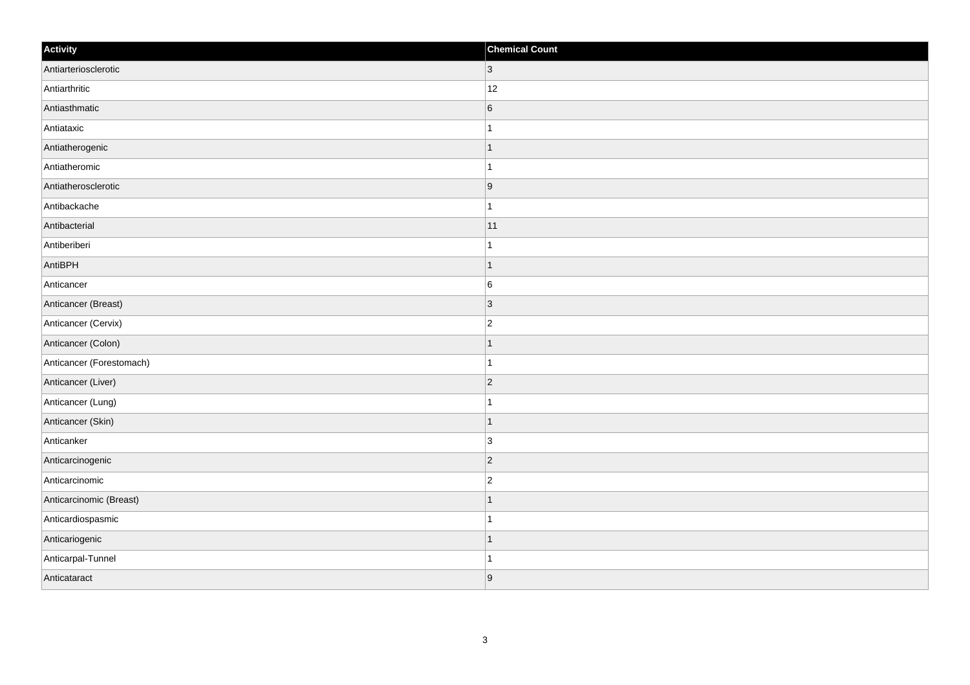| Activity                 | <b>Chemical Count</b> |
|--------------------------|-----------------------|
| Antiarteriosclerotic     | $ 3\rangle$           |
| Antiarthritic            | 12                    |
| Antiasthmatic            | $\sqrt{6}$            |
| Antiataxic               | 1                     |
| Antiatherogenic          | $\mathbf 1$           |
| Antiatheromic            |                       |
| Antiatherosclerotic      | 9                     |
| Antibackache             | $\mathbf{1}$          |
| Antibacterial            | 11                    |
| Antiberiberi             | $\mathbf{1}$          |
| AntiBPH                  | $\overline{1}$        |
| Anticancer               | 6                     |
| Anticancer (Breast)      | 3                     |
| Anticancer (Cervix)      | $\overline{c}$        |
| Anticancer (Colon)       |                       |
| Anticancer (Forestomach) | $\mathbf{1}$          |
| Anticancer (Liver)       | $\overline{2}$        |
| Anticancer (Lung)        |                       |
| Anticancer (Skin)        | $\vert$ 1             |
| Anticanker               | 3                     |
| Anticarcinogenic         | $ 2\rangle$           |
| Anticarcinomic           | $\overline{c}$        |
| Anticarcinomic (Breast)  | 1                     |
| Anticardiospasmic        | $\mathbf{1}$          |
| Anticariogenic           | $\mathbf 1$           |
| Anticarpal-Tunnel        | -1                    |
| Anticataract             | ∣9                    |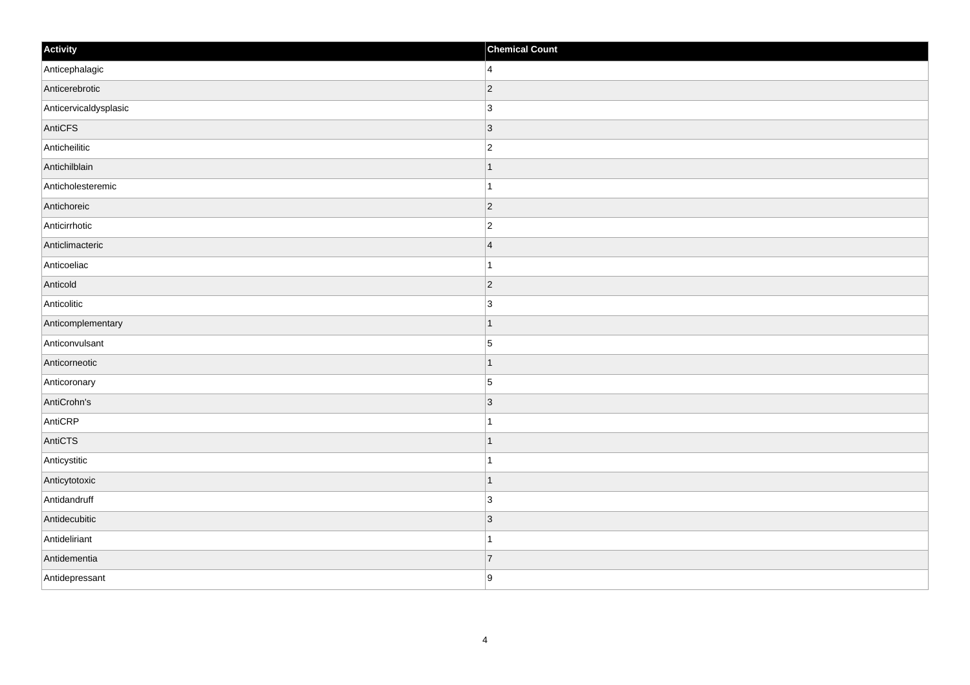| Activity              | <b>Chemical Count</b>   |
|-----------------------|-------------------------|
| Anticephalagic        | $\overline{4}$          |
| Anticerebrotic        | $ 2\rangle$             |
| Anticervicaldysplasic | 3                       |
| AntiCFS               | $ 3\rangle$             |
| Anticheilitic         | $\overline{c}$          |
| Antichilblain         | -1                      |
| Anticholesteremic     | $\mathbf{1}$            |
| Antichoreic           | $ 2\rangle$             |
| Anticirrhotic         | $ 2\rangle$             |
| Anticlimacteric       | $\overline{\mathbf{4}}$ |
| Anticoeliac           | $\mathbf 1$             |
| Anticold              | $ 2\rangle$             |
| Anticolitic           | $\overline{3}$          |
| Anticomplementary     | $\mathbf 1$             |
| Anticonvulsant        | $\vert$ 5               |
| Anticorneotic         | $\vert$ 1               |
| Anticoronary          | $\vert$ 5               |
| AntiCrohn's           | 3                       |
| AntiCRP               | 1                       |
| AntiCTS               | 1                       |
| Anticystitic          | $\mathbf{1}$            |
| Anticytotoxic         | $\vert$ 1               |
| Antidandruff          | 3                       |
| Antidecubitic         | 3                       |
| Antideliriant         | $\mathbf 1$             |
| Antidementia          | $\overline{7}$          |
| Antidepressant        | 9                       |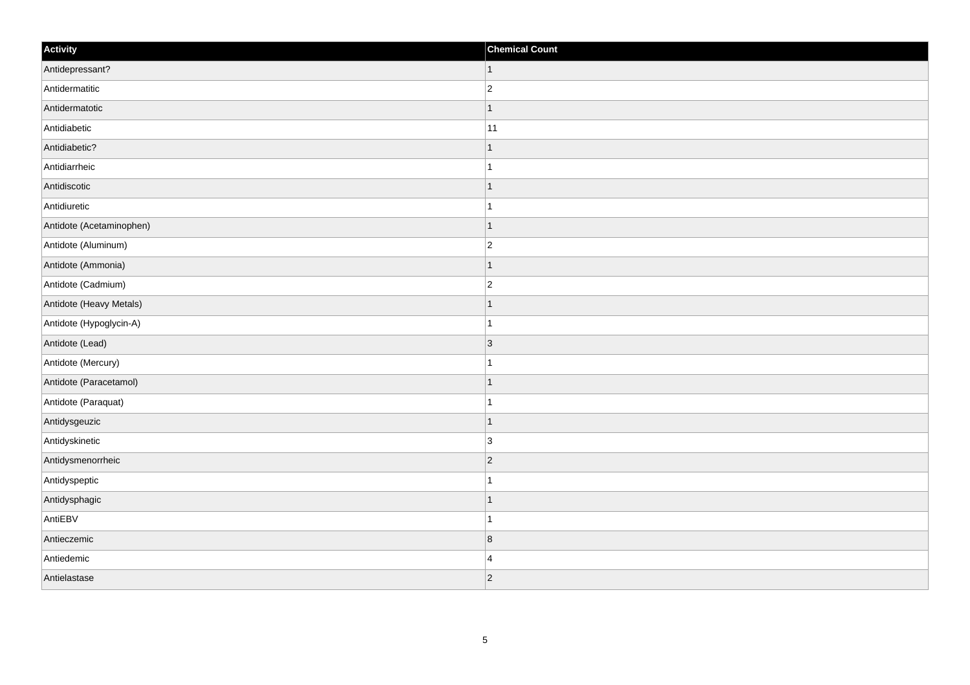| Activity                 | <b>Chemical Count</b> |
|--------------------------|-----------------------|
| Antidepressant?          | $\vert$ 1             |
| Antidermatitic           | $ 2\rangle$           |
| Antidermatotic           | $\mathbf{1}$          |
| Antidiabetic             | 11                    |
| Antidiabetic?            | $\mathbf{1}$          |
| Antidiarrheic            | $\mathbf 1$           |
| Antidiscotic             | $\vert$ 1             |
| Antidiuretic             | $\mathbf{1}$          |
| Antidote (Acetaminophen) | $\mathbf{1}$          |
| Antidote (Aluminum)      | $ 2\rangle$           |
| Antidote (Ammonia)       | $\mathbf{1}$          |
| Antidote (Cadmium)       | $ 2\rangle$           |
| Antidote (Heavy Metals)  | $\vert$ 1             |
| Antidote (Hypoglycin-A)  | $\mathbf{1}$          |
| Antidote (Lead)          | $ 3\rangle$           |
| Antidote (Mercury)       | $\mathbf{1}$          |
| Antidote (Paracetamol)   | $\mathbf{1}$          |
| Antidote (Paraquat)      | $\mathbf{1}$          |
| Antidysgeuzic            | $\vert$ 1             |
| Antidyskinetic           | 3                     |
| Antidysmenorrheic        | $\vert$ 2             |
| Antidyspeptic            | $\mathbf{1}$          |
| Antidysphagic            | $\mathbf{1}$          |
| AntiEBV                  | $\mathbf{1}$          |
| Antieczemic              | 8                     |
| Antiedemic               | 4                     |
| Antielastase             | $ 2\rangle$           |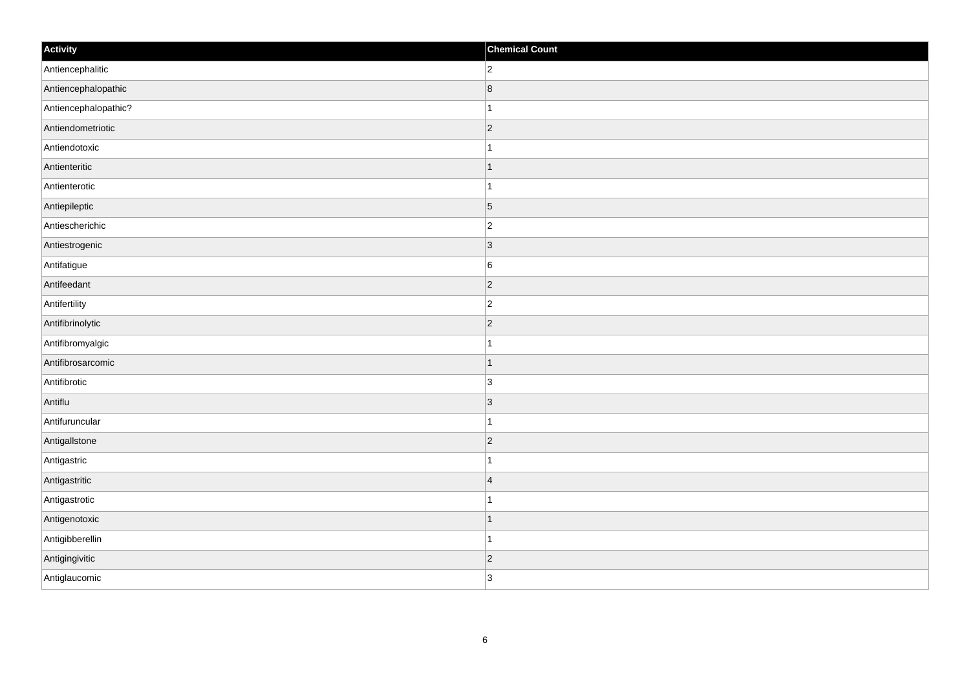| Activity             | <b>Chemical Count</b>   |
|----------------------|-------------------------|
| Antiencephalitic     | $ 2\rangle$             |
| Antiencephalopathic  | $\overline{\mathbf{8}}$ |
| Antiencephalopathic? |                         |
| Antiendometriotic    | $ 2\rangle$             |
| Antiendotoxic        | $\overline{1}$          |
| Antienteritic        | $\mathbf 1$             |
| Antienterotic        | $\overline{\mathbf{A}}$ |
| Antiepileptic        | $\overline{5}$          |
| Antiescherichic      | $\vert$ 2               |
| Antiestrogenic       | $ 3\rangle$             |
| Antifatigue          | 6                       |
| Antifeedant          | $\vert$ 2               |
| Antifertility        | $ 2\rangle$             |
| Antifibrinolytic     | $ 2\rangle$             |
| Antifibromyalgic     | $\overline{\mathbf{A}}$ |
| Antifibrosarcomic    | $\mathbf{1}$            |
| Antifibrotic         | $\vert$ 3               |
| Antiflu              | $\vert$ 3               |
| Antifuruncular       | $\overline{1}$          |
| Antigallstone        | $\overline{2}$          |
| Antigastric          | $\overline{1}$          |
| Antigastritic        | $\overline{4}$          |
| Antigastrotic        | 1                       |
| Antigenotoxic        | $\mathbf{1}$            |
| Antigibberellin      | $\overline{1}$          |
| Antigingivitic       | $\vert$ 2               |
| Antiglaucomic        | 3                       |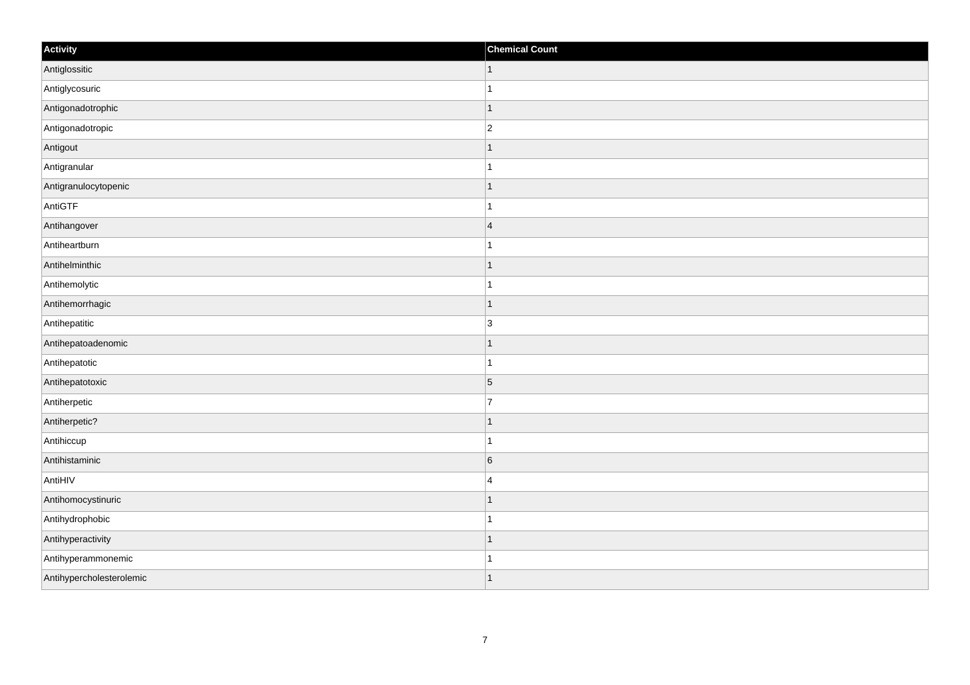| Activity                 | <b>Chemical Count</b> |
|--------------------------|-----------------------|
| Antiglossitic            | $\vert$ 1             |
| Antiglycosuric           |                       |
| Antigonadotrophic        | f.                    |
| Antigonadotropic         | $\overline{c}$        |
| Antigout                 |                       |
| Antigranular             |                       |
| Antigranulocytopenic     | 1                     |
| AntiGTF                  | 1                     |
| Antihangover             | $\overline{4}$        |
| Antiheartburn            |                       |
| Antihelminthic           |                       |
| Antihemolytic            |                       |
| Antihemorrhagic          | 1                     |
| Antihepatitic            | $\overline{3}$        |
| Antihepatoadenomic       |                       |
| Antihepatotic            |                       |
| Antihepatotoxic          | $\overline{5}$        |
| Antiherpetic             | $\overline{7}$        |
| Antiherpetic?            | -1                    |
| Antihiccup               | -1                    |
| Antihistaminic           | $6\overline{6}$       |
| AntiHIV                  | $\overline{4}$        |
| Antihomocystinuric       |                       |
| Antihydrophobic          |                       |
| Antihyperactivity        | -1                    |
| Antihyperammonemic       |                       |
| Antihypercholesterolemic |                       |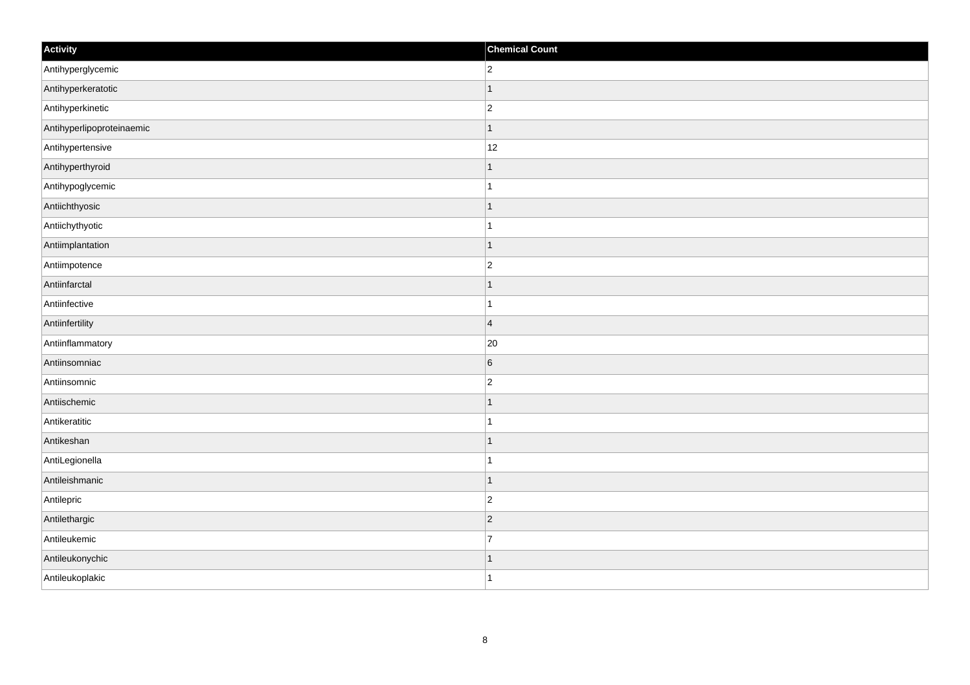| Activity                  | <b>Chemical Count</b> |
|---------------------------|-----------------------|
| Antihyperglycemic         | $ 2\rangle$           |
| Antihyperkeratotic        | $\mathbf{1}$          |
| Antihyperkinetic          | $\vert$ 2             |
| Antihyperlipoproteinaemic | $\vert$ 1             |
| Antihypertensive          | 12                    |
| Antihyperthyroid          | $\mathbf{1}$          |
| Antihypoglycemic          | $\mathbf{1}$          |
| Antiichthyosic            | $\mathbf{1}$          |
| Antiichythyotic           | $\mathbf{1}$          |
| Antiimplantation          | $\vert$ 1             |
| Antiimpotence             | $ 2\rangle$           |
| Antiinfarctal             | $\mathbf{1}$          |
| Antiinfective             | $\mathbf{1}$          |
| Antiinfertility           | $\vert$ 4             |
| Antiinflammatory          | 20                    |
| Antiinsomniac             | $6\overline{6}$       |
| Antiinsomnic              | $ 2\rangle$           |
| Antiischemic              | $\vert$ 1             |
| Antikeratitic             | $\vert$ 1             |
| Antikeshan                | $\vert$ 1             |
| AntiLegionella            | $\mathbf{1}$          |
| Antileishmanic            | $\vert$ 1             |
| Antilepric                | $ 2\rangle$           |
| Antilethargic             | $\vert$ 2             |
| Antileukemic              | $\overline{7}$        |
| Antileukonychic           | $\vert$ 1             |
| Antileukoplakic           | $\vert$ 1             |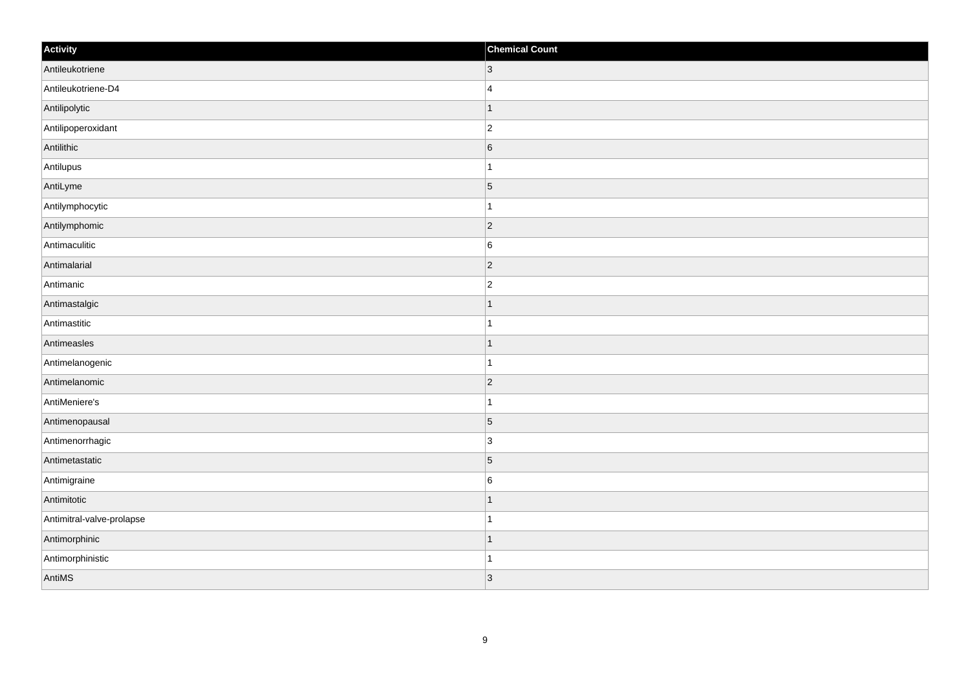| Activity                  | <b>Chemical Count</b> |
|---------------------------|-----------------------|
| Antileukotriene           | $ 3\rangle$           |
| Antileukotriene-D4        | $\overline{4}$        |
| Antilipolytic             | $\mathbf 1$           |
| Antilipoperoxidant        | $\overline{2}$        |
| Antilithic                | $6\phantom{.}6$       |
| Antilupus                 | 1                     |
| AntiLyme                  | $\vert 5 \vert$       |
| Antilymphocytic           | $\mathbf{1}$          |
| Antilymphomic             | 2                     |
| Antimaculitic             | $\sf 6$               |
| Antimalarial              | $\overline{2}$        |
| Antimanic                 | $\overline{2}$        |
| Antimastalgic             | $\vert$ 1             |
| Antimastitic              | $\overline{1}$        |
| Antimeasles               | $\mathbf 1$           |
| Antimelanogenic           | $\mathbf{1}$          |
| Antimelanomic             | $ 2\rangle$           |
| AntiMeniere's             | $\overline{1}$        |
| Antimenopausal            | $\vert$ 5             |
| Antimenorrhagic           | $\overline{3}$        |
| Antimetastatic            | $\vert 5 \vert$       |
| Antimigraine              | 6                     |
| Antimitotic               | 1                     |
| Antimitral-valve-prolapse | 1                     |
| Antimorphinic             | $\overline{1}$        |
| Antimorphinistic          | $\mathbf{1}$          |
| AntiMS                    | 3                     |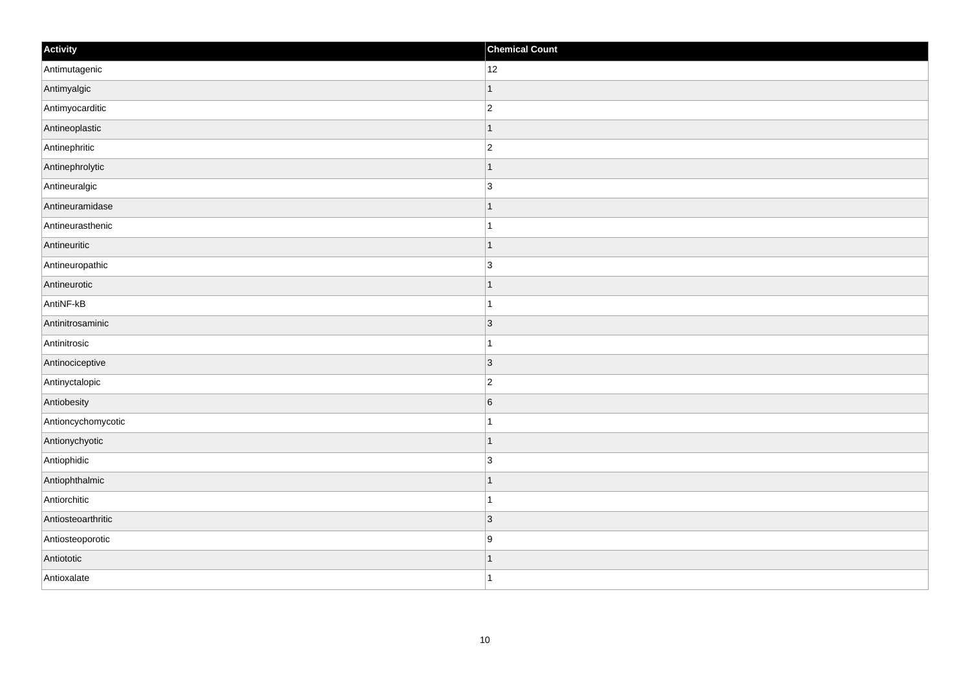| Activity           | <b>Chemical Count</b> |
|--------------------|-----------------------|
| Antimutagenic      | 12                    |
| Antimyalgic        | $\mathbf 1$           |
| Antimyocarditic    | $\overline{c}$        |
| Antineoplastic     | $\overline{1}$        |
| Antinephritic      | $\overline{c}$        |
| Antinephrolytic    | -1                    |
| Antineuralgic      | $\overline{3}$        |
| Antineuramidase    | $\mathbf 1$           |
| Antineurasthenic   |                       |
| Antineuritic       | $\vert$ 1             |
| Antineuropathic    | 3                     |
| Antineurotic       |                       |
| AntiNF-kB          | $\mathbf{1}$          |
| Antinitrosaminic   | $ 3\rangle$           |
| Antinitrosic       | 1                     |
| Antinociceptive    | 3                     |
| Antinyctalopic     | $\overline{2}$        |
| Antiobesity        | 6                     |
| Antioncychomycotic | $\mathbf 1$           |
| Antionychyotic     | $\vert$ 1             |
| Antiophidic        | 3                     |
| Antiophthalmic     | $\vert$ 1             |
| Antiorchitic       | $\mathbf 1$           |
| Antiosteoarthritic | 3                     |
| Antiosteoporotic   | 9                     |
| Antiototic         | 1                     |
| Antioxalate        | $\overline{1}$        |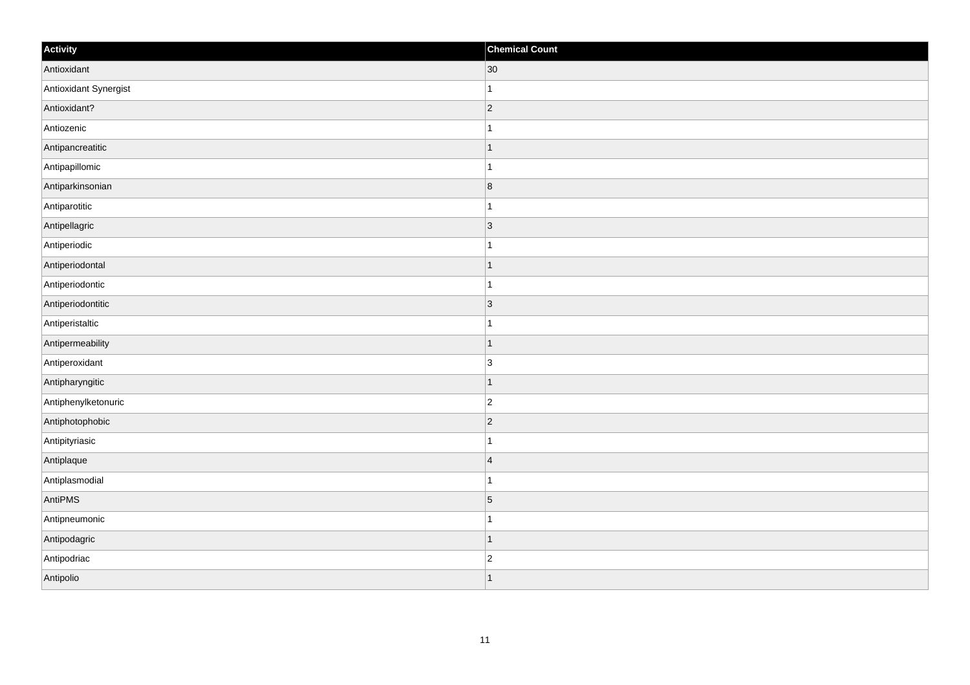| Activity              | <b>Chemical Count</b> |
|-----------------------|-----------------------|
| Antioxidant           | 30                    |
| Antioxidant Synergist | $\overline{1}$        |
| Antioxidant?          | $ 2\rangle$           |
| Antiozenic            | $\mathbf{1}$          |
| Antipancreatitic      | $\mathbf 1$           |
| Antipapillomic        | 1                     |
| Antiparkinsonian      | 8                     |
| Antiparotitic         | $\mathbf{1}$          |
| Antipellagric         | 3                     |
| Antiperiodic          | $\mathbf{1}$          |
| Antiperiodontal       | $\mathbf 1$           |
| Antiperiodontic       |                       |
| Antiperiodontitic     | 3                     |
| Antiperistaltic       | 1                     |
| Antipermeability      | $\overline{1}$        |
| Antiperoxidant        | $\overline{3}$        |
| Antipharyngitic       | $\mathbf 1$           |
| Antiphenylketonuric   | $\overline{c}$        |
| Antiphotophobic       | $ 2\rangle$           |
| Antipityriasic        | 1                     |
| Antiplaque            | $\overline{4}$        |
| Antiplasmodial        | 1                     |
| AntiPMS               | $\sqrt{5}$            |
| Antipneumonic         | 1                     |
| Antipodagric          | $\mathbf{1}$          |
| Antipodriac           | $\overline{c}$        |
| Antipolio             | $\overline{1}$        |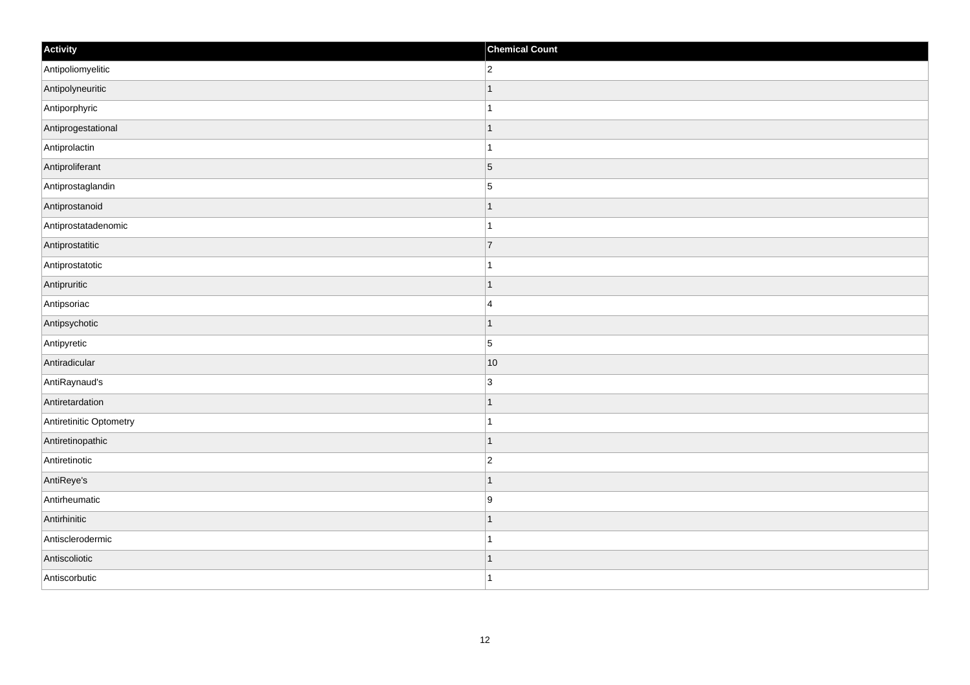| Activity                | <b>Chemical Count</b> |
|-------------------------|-----------------------|
| Antipoliomyelitic       | $ 2\rangle$           |
| Antipolyneuritic        | $\overline{1}$        |
| Antiporphyric           | $\mathbf{1}$          |
| Antiprogestational      | $\vert$ 1             |
| Antiprolactin           | $\vert$ 1             |
| Antiproliferant         | $\vert 5 \vert$       |
| Antiprostaglandin       | $\overline{5}$        |
| Antiprostanoid          | $\mathbf{1}$          |
| Antiprostatadenomic     | $\mathbf{1}$          |
| Antiprostatitic         | 7                     |
| Antiprostatotic         | $\vert$ 1             |
| Antipruritic            | $\mathbf{1}$          |
| Antipsoriac             | $\vert$ 4             |
| Antipsychotic           | $\mathbf{1}$          |
| Antipyretic             | $\overline{5}$        |
| Antiradicular           | $ 10\rangle$          |
| AntiRaynaud's           | 3                     |
| Antiretardation         | $\vert$ 1             |
| Antiretinitic Optometry | $\mathbf{1}$          |
| Antiretinopathic        | $\vert$ 1             |
| Antiretinotic           | $ 2\rangle$           |
| AntiReye's              | $\vert$ 1             |
| Antirheumatic           | 9                     |
| Antirhinitic            | $\vert$ 1             |
| Antisclerodermic        | $\mathbf{1}$          |
| Antiscoliotic           | $\mathbf{1}$          |
| Antiscorbutic           | $\vert$ 1             |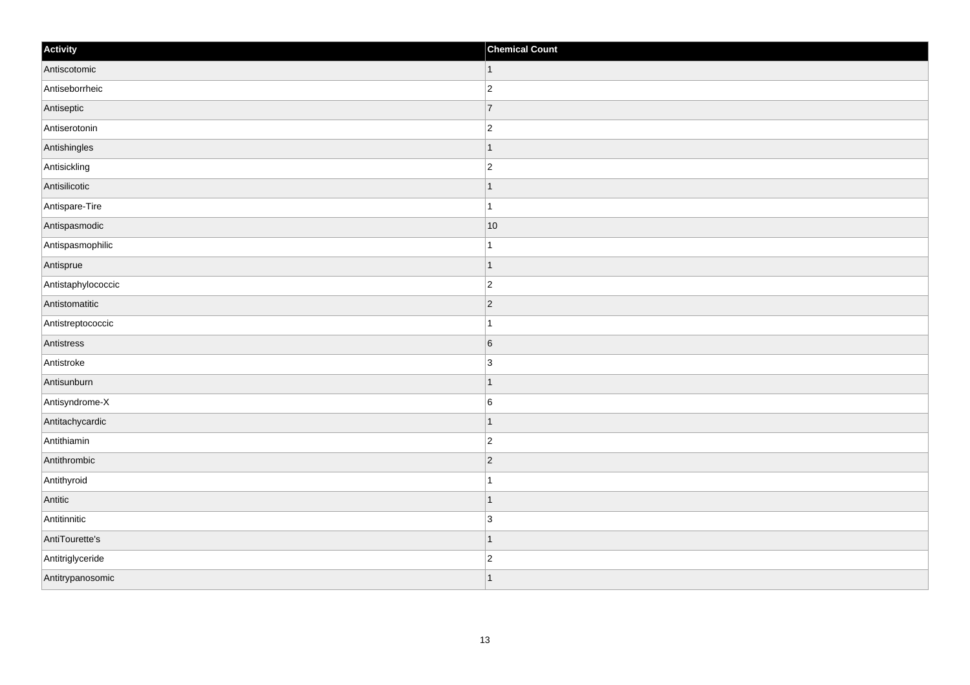| Activity           | <b>Chemical Count</b>    |
|--------------------|--------------------------|
| Antiscotomic       | $\vert$ 1                |
| Antiseborrheic     | $\overline{c}$           |
| Antiseptic         | $\overline{7}$           |
| Antiserotonin      | $\overline{c}$           |
| Antishingles       | -1                       |
| Antisickling       | $\overline{2}$           |
| Antisilicotic      | 1                        |
| Antispare-Tire     | $\overline{1}$           |
| Antispasmodic      | 10                       |
| Antispasmophilic   |                          |
| Antisprue          | $\overline{1}$           |
| Antistaphylococcic | $\overline{2}$           |
| Antistomatitic     | $ 2\rangle$              |
| Antistreptococcic  | 1                        |
| Antistress         | $6\overline{6}$          |
| Antistroke         | $\overline{3}$           |
| Antisunburn        | $\overline{\phantom{a}}$ |
| Antisyndrome-X     | 6                        |
| Antitachycardic    | $\vert$ 1                |
| Antithiamin        | $\overline{2}$           |
| Antithrombic       | $\vert$ 2                |
| Antithyroid        | 1                        |
| Antitic            | 1                        |
| Antitinnitic       | 3                        |
| AntiTourette's     | 1                        |
| Antitriglyceride   | $\overline{c}$           |
| Antitrypanosomic   | $\overline{\phantom{a}}$ |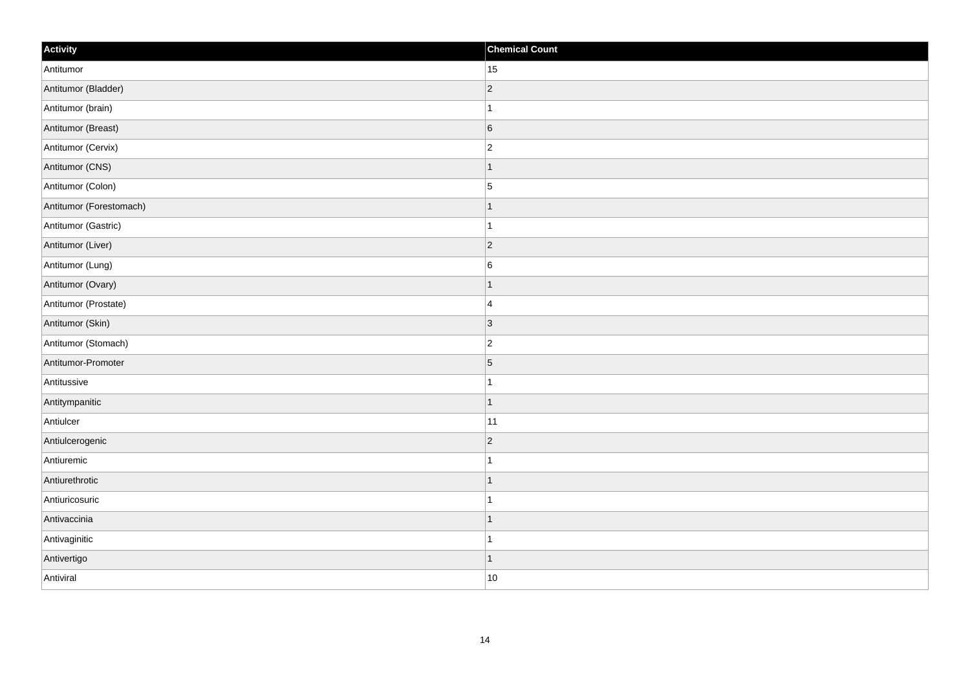| Activity                | <b>Chemical Count</b> |
|-------------------------|-----------------------|
| Antitumor               | 15                    |
| Antitumor (Bladder)     | $ 2\rangle$           |
| Antitumor (brain)       | 1                     |
| Antitumor (Breast)      | $6\overline{6}$       |
| Antitumor (Cervix)      | $ 2\rangle$           |
| Antitumor (CNS)         | $\mathbf{1}$          |
| Antitumor (Colon)       | 5                     |
| Antitumor (Forestomach) | $\overline{1}$        |
| Antitumor (Gastric)     | 1                     |
| Antitumor (Liver)       | $ 2\rangle$           |
| Antitumor (Lung)        | $\,6$                 |
| Antitumor (Ovary)       | $\mathbf 1$           |
| Antitumor (Prostate)    | $\overline{4}$        |
| Antitumor (Skin)        | 3                     |
| Antitumor (Stomach)     | $\vert$ 2             |
| Antitumor-Promoter      | $\overline{5}$        |
| Antitussive             | 1                     |
| Antitympanitic          | $\mathbf{1}$          |
| Antiulcer               | 11                    |
| Antiulcerogenic         | $ 2\rangle$           |
| Antiuremic              | $\overline{1}$        |
| Antiurethrotic          | $\mathbf{1}$          |
| Antiuricosuric          | -1                    |
| Antivaccinia            | $\overline{1}$        |
| Antivaginitic           | $\mathbf{1}$          |
| Antivertigo             | $\mathbf{1}$          |
| Antiviral               | 10                    |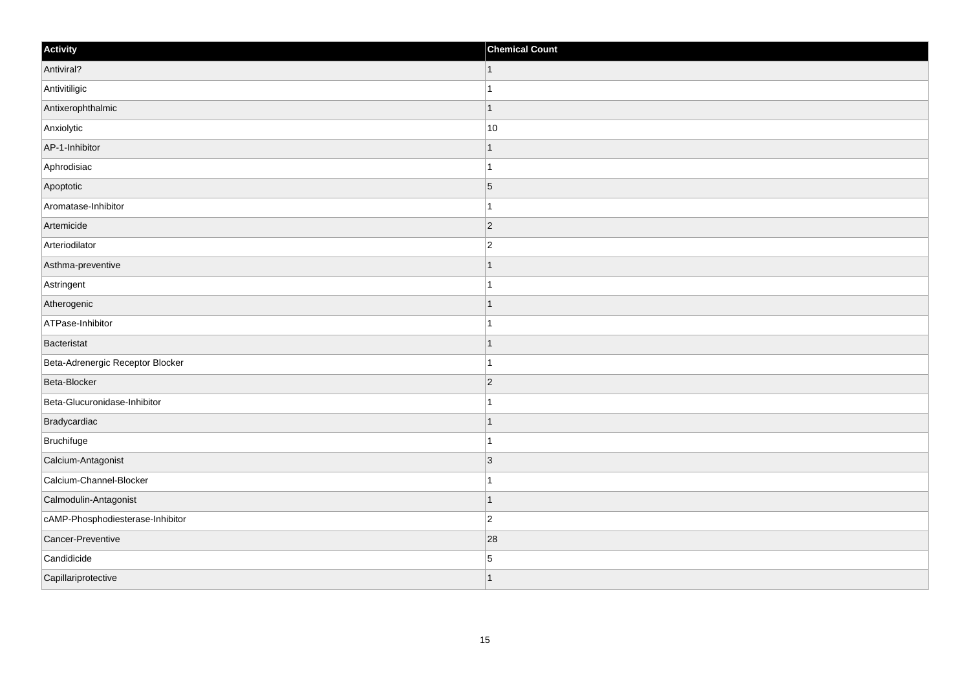| Activity                         | <b>Chemical Count</b> |
|----------------------------------|-----------------------|
| Antiviral?                       | 1                     |
| Antivitiligic                    |                       |
| Antixerophthalmic                |                       |
| Anxiolytic                       | 10                    |
| AP-1-Inhibitor                   |                       |
| Aphrodisiac                      |                       |
| Apoptotic                        | $\overline{5}$        |
| Aromatase-Inhibitor              |                       |
| Artemicide                       | $\vert$ 2             |
| Arteriodilator                   | $\overline{c}$        |
| Asthma-preventive                |                       |
| Astringent                       |                       |
| Atherogenic                      |                       |
| ATPase-Inhibitor                 |                       |
| Bacteristat                      |                       |
| Beta-Adrenergic Receptor Blocker |                       |
| Beta-Blocker                     | $\overline{2}$        |
| Beta-Glucuronidase-Inhibitor     |                       |
| Bradycardiac                     |                       |
| Bruchifuge                       | -1                    |
| Calcium-Antagonist               | $\vert 3 \vert$       |
| Calcium-Channel-Blocker          |                       |
| Calmodulin-Antagonist            |                       |
| cAMP-Phosphodiesterase-Inhibitor | $\overline{2}$        |
| Cancer-Preventive                | 28                    |
| Candidicide                      | $\overline{5}$        |
| Capillariprotective              |                       |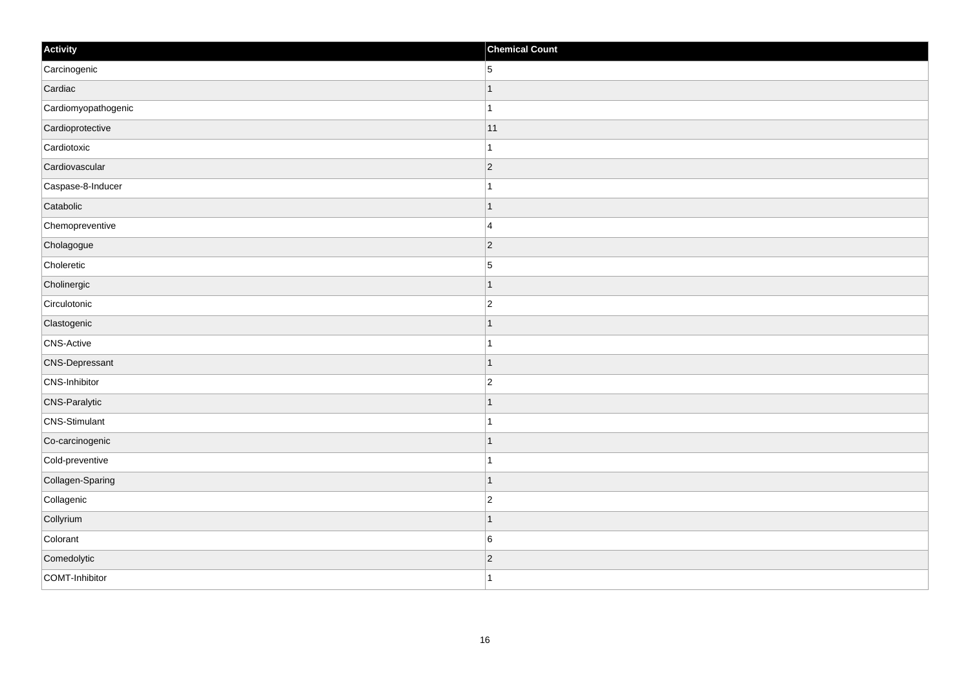| Activity              | <b>Chemical Count</b> |
|-----------------------|-----------------------|
| Carcinogenic          | 5                     |
| Cardiac               |                       |
| Cardiomyopathogenic   | 1                     |
| Cardioprotective      | 11                    |
| Cardiotoxic           | $\mathbf{1}$          |
| Cardiovascular        | $ 2\rangle$           |
| Caspase-8-Inducer     | $\mathbf 1$           |
| Catabolic             | $\mathbf 1$           |
| Chemopreventive       | $\overline{4}$        |
| Cholagogue            | $ 2\rangle$           |
| Choleretic            | $\overline{5}$        |
| Cholinergic           | $\mathbf 1$           |
| Circulotonic          | $\overline{2}$        |
| Clastogenic           |                       |
| CNS-Active            |                       |
| <b>CNS-Depressant</b> | $\mathbf{1}$          |
| CNS-Inhibitor         | $\overline{c}$        |
| <b>CNS-Paralytic</b>  | $\mathbf 1$           |
| <b>CNS-Stimulant</b>  | $\mathbf{1}$          |
| Co-carcinogenic       | 1                     |
| Cold-preventive       | $\overline{1}$        |
| Collagen-Sparing      | $\mathbf{1}$          |
| Collagenic            | $\overline{c}$        |
| Collyrium             | $\overline{1}$        |
| Colorant              | $\sf 6$               |
| Comedolytic           | $ 2\rangle$           |
| COMT-Inhibitor        | $\overline{1}$        |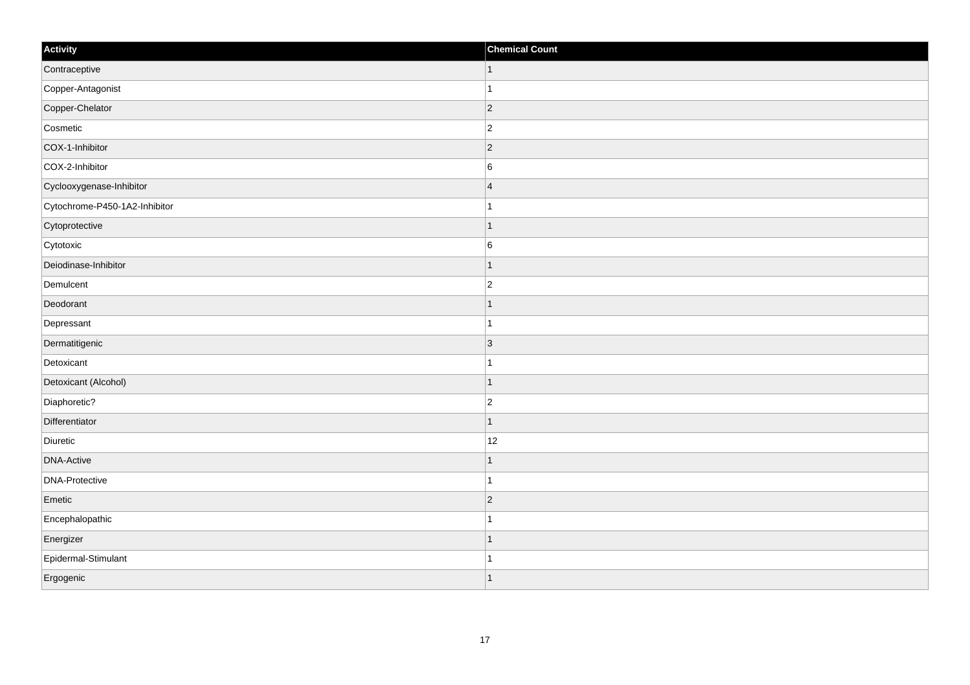| Activity                      | <b>Chemical Count</b> |
|-------------------------------|-----------------------|
| Contraceptive                 | $\vert$ 1             |
| Copper-Antagonist             | $\overline{1}$        |
| Copper-Chelator               | $ 2\rangle$           |
| Cosmetic                      | $\overline{c}$        |
| COX-1-Inhibitor               | $\overline{c}$        |
| COX-2-Inhibitor               | $6\phantom{.}6$       |
| Cyclooxygenase-Inhibitor      | $\overline{4}$        |
| Cytochrome-P450-1A2-Inhibitor | $\mathbf{1}$          |
| Cytoprotective                | $\mathbf 1$           |
| Cytotoxic                     | $\sf 6$               |
| Deiodinase-Inhibitor          |                       |
| Demulcent                     | $\overline{c}$        |
| Deodorant                     | $\mathbf{1}$          |
| Depressant                    | $\mathbf{1}$          |
| Dermatitigenic                | 3                     |
| Detoxicant                    | $\mathbf{1}$          |
| Detoxicant (Alcohol)          | $\mathbf 1$           |
| Diaphoretic?                  | $\overline{c}$        |
| Differentiator                | $\mathbf{1}$          |
| Diuretic                      | 12                    |
| <b>DNA-Active</b>             | -1                    |
| <b>DNA-Protective</b>         | $\mathbf{1}$          |
| Emetic                        | $\overline{2}$        |
| Encephalopathic               | $\mathbf{1}$          |
| Energizer                     | $\mathbf{1}$          |
| Epidermal-Stimulant           | 1                     |
| Ergogenic                     | $\vert$ 1             |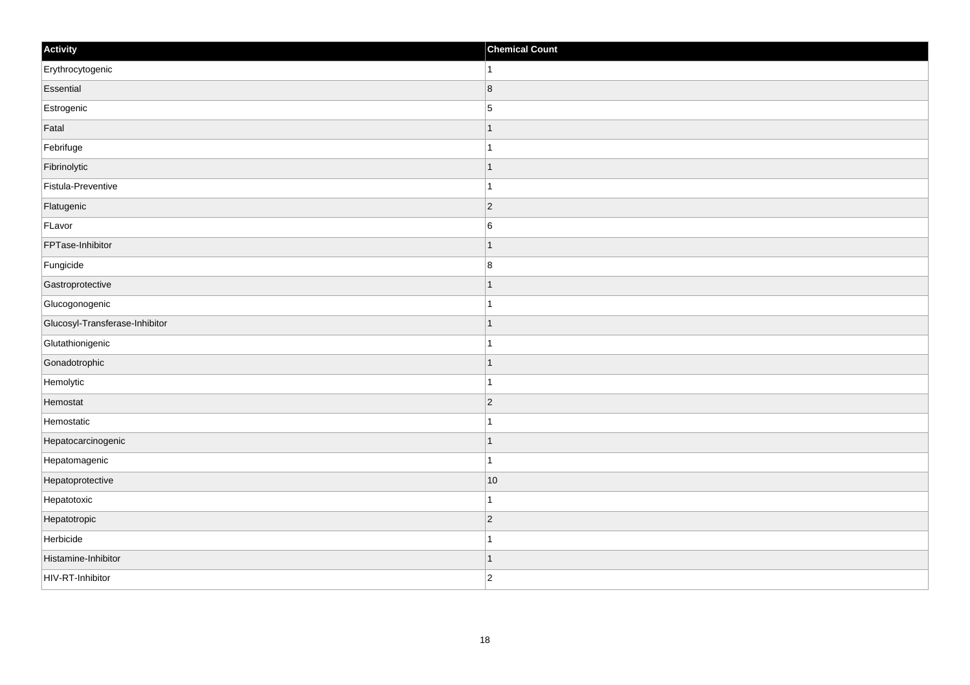| Activity                       | <b>Chemical Count</b> |
|--------------------------------|-----------------------|
| Erythrocytogenic               | 1                     |
| Essential                      | $\bf 8$               |
| Estrogenic                     | $\overline{5}$        |
| Fatal                          | -1                    |
| Febrifuge                      | $\mathbf{1}$          |
| Fibrinolytic                   |                       |
| Fistula-Preventive             |                       |
| Flatugenic                     | $ 2\rangle$           |
| FLavor                         | $6\phantom{.}6$       |
| FPTase-Inhibitor               | 1                     |
| Fungicide                      | 8                     |
| Gastroprotective               |                       |
| Glucogonogenic                 |                       |
| Glucosyl-Transferase-Inhibitor |                       |
| Glutathionigenic               |                       |
| Gonadotrophic                  | 1                     |
| Hemolytic                      | 1                     |
| Hemostat                       | $\vert$ 2             |
| Hemostatic                     |                       |
| Hepatocarcinogenic             | -1                    |
| Hepatomagenic                  | 1                     |
| Hepatoprotective               | 10                    |
| Hepatotoxic                    |                       |
| Hepatotropic                   | $\vert$ 2             |
| Herbicide                      | -1                    |
| Histamine-Inhibitor            | -1                    |
| HIV-RT-Inhibitor               | $\overline{2}$        |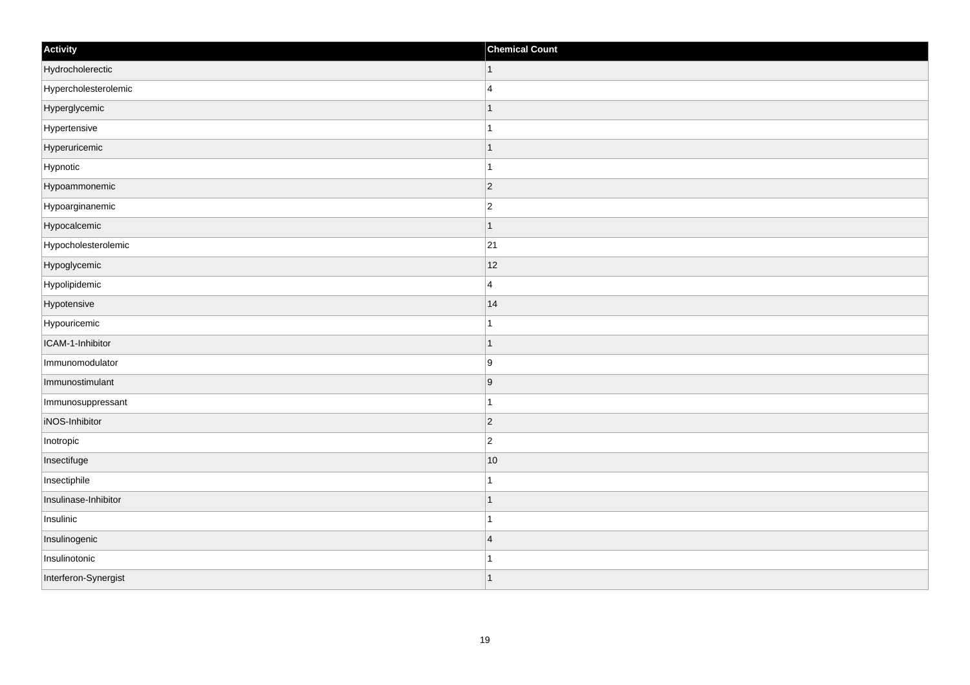| Activity             | <b>Chemical Count</b> |
|----------------------|-----------------------|
| Hydrocholerectic     | $\vert$ 1             |
| Hypercholesterolemic | $\overline{4}$        |
| Hyperglycemic        |                       |
| Hypertensive         | -1                    |
| Hyperuricemic        | $\mathbf 1$           |
| Hypnotic             | 1                     |
| Hypoammonemic        | $ 2\rangle$           |
| Hypoarginanemic      | $\overline{c}$        |
| Hypocalcemic         | $\mathbf 1$           |
| Hypocholesterolemic  | 21                    |
| Hypoglycemic         | 12                    |
| Hypolipidemic        | $\overline{4}$        |
| Hypotensive          | 14                    |
| Hypouricemic         | $\mathbf 1$           |
| ICAM-1-Inhibitor     | $\mathbf 1$           |
| Immunomodulator      | 9                     |
| Immunostimulant      | 9                     |
| Immunosuppressant    |                       |
| iNOS-Inhibitor       | $ 2\rangle$           |
| Inotropic            | $\overline{c}$        |
| Insectifuge          | 10                    |
| Insectiphile         | $\mathbf{1}$          |
| Insulinase-Inhibitor | $\mathbf 1$           |
| Insulinic            |                       |
| Insulinogenic        | $\overline{4}$        |
| Insulinotonic        |                       |
| Interferon-Synergist | $\vert$ 1             |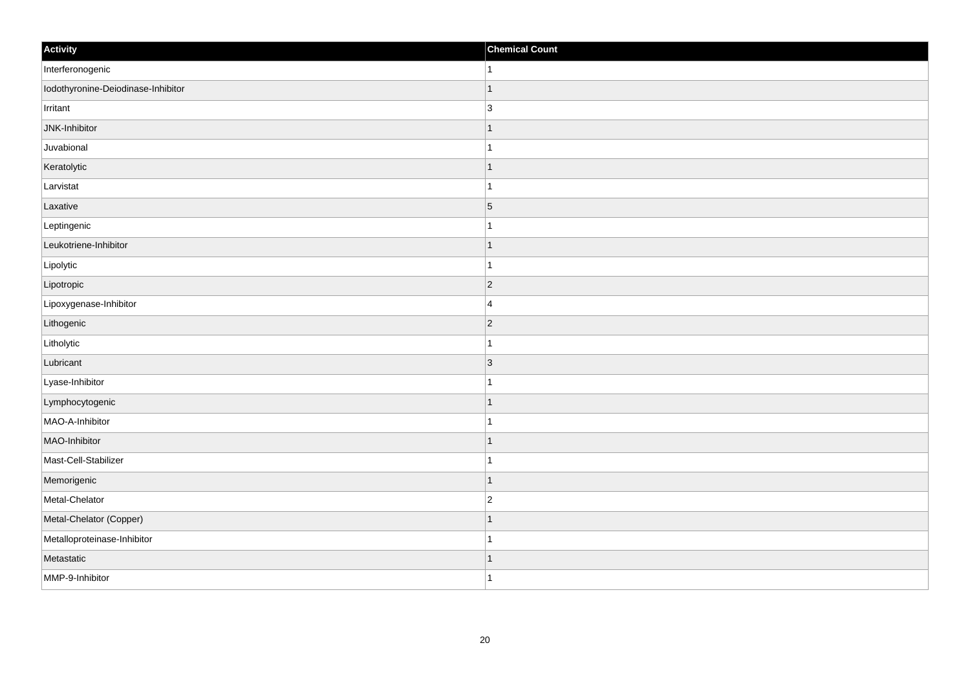| Activity                           | <b>Chemical Count</b> |
|------------------------------------|-----------------------|
| Interferonogenic                   | $\mathbf{1}$          |
| Iodothyronine-Deiodinase-Inhibitor | $\overline{ }$        |
| Irritant                           | 3                     |
| JNK-Inhibitor                      | 1                     |
| Juvabional                         |                       |
| Keratolytic                        |                       |
| Larvistat                          |                       |
| Laxative                           | $\overline{5}$        |
| Leptingenic                        |                       |
| Leukotriene-Inhibitor              | 1                     |
| Lipolytic                          | 1                     |
| Lipotropic                         | $\vert$ 2             |
| Lipoxygenase-Inhibitor             | 4                     |
| Lithogenic                         | $\overline{2}$        |
| Litholytic                         |                       |
| Lubricant                          | $\vert$ 3             |
| Lyase-Inhibitor                    |                       |
| Lymphocytogenic                    |                       |
| MAO-A-Inhibitor                    |                       |
| MAO-Inhibitor                      |                       |
| Mast-Cell-Stabilizer               |                       |
| Memorigenic                        | 1                     |
| Metal-Chelator                     | $\overline{2}$        |
| Metal-Chelator (Copper)            |                       |
| Metalloproteinase-Inhibitor        |                       |
| Metastatic                         |                       |
| MMP-9-Inhibitor                    | 1                     |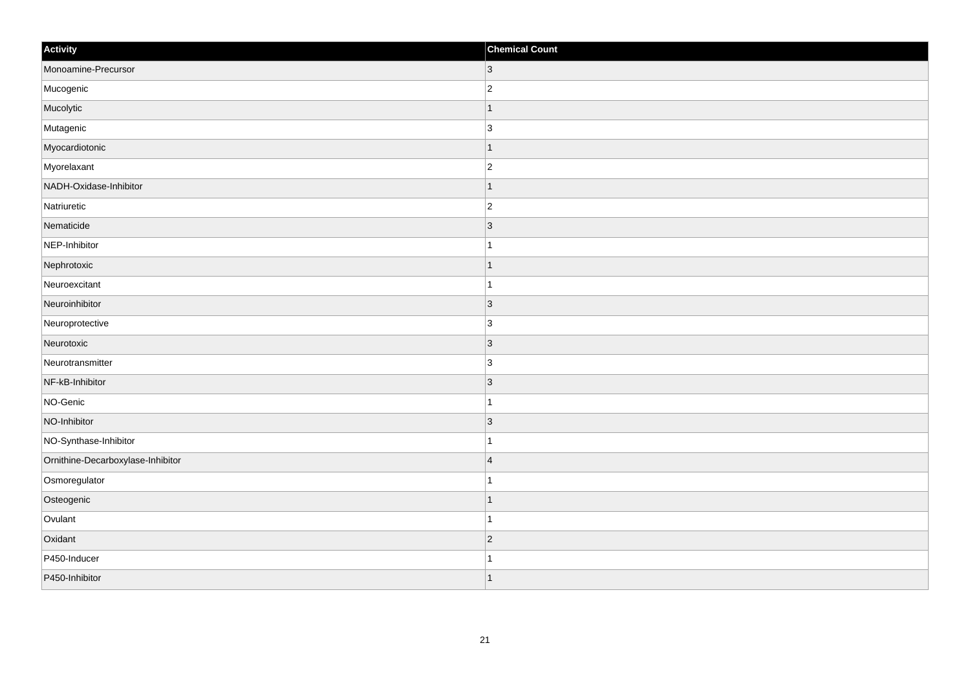| Activity                          | <b>Chemical Count</b> |
|-----------------------------------|-----------------------|
| Monoamine-Precursor               | $ 3\rangle$           |
| Mucogenic                         | $\overline{2}$        |
| Mucolytic                         | 1                     |
| Mutagenic                         | 3                     |
| Myocardiotonic                    |                       |
| Myorelaxant                       | $\overline{c}$        |
| NADH-Oxidase-Inhibitor            | $\mathbf{1}$          |
| Natriuretic                       | $\overline{c}$        |
| Nematicide                        | 3                     |
| NEP-Inhibitor                     | $\mathbf{1}$          |
| Nephrotoxic                       | $\mathbf 1$           |
| Neuroexcitant                     |                       |
| Neuroinhibitor                    | $ 3\rangle$           |
| Neuroprotective                   | 3                     |
| Neurotoxic                        | 3                     |
| Neurotransmitter                  | 3                     |
| NF-kB-Inhibitor                   | 3                     |
| NO-Genic                          | -1                    |
| NO-Inhibitor                      | 3                     |
| NO-Synthase-Inhibitor             | 1                     |
| Ornithine-Decarboxylase-Inhibitor | $\overline{4}$        |
| Osmoregulator                     | $\mathbf{1}$          |
| Osteogenic                        | $\overline{1}$        |
| Ovulant                           | $\mathbf{1}$          |
| Oxidant                           | $ 2\rangle$           |
| P450-Inducer                      | -1                    |
| P450-Inhibitor                    | $\overline{1}$        |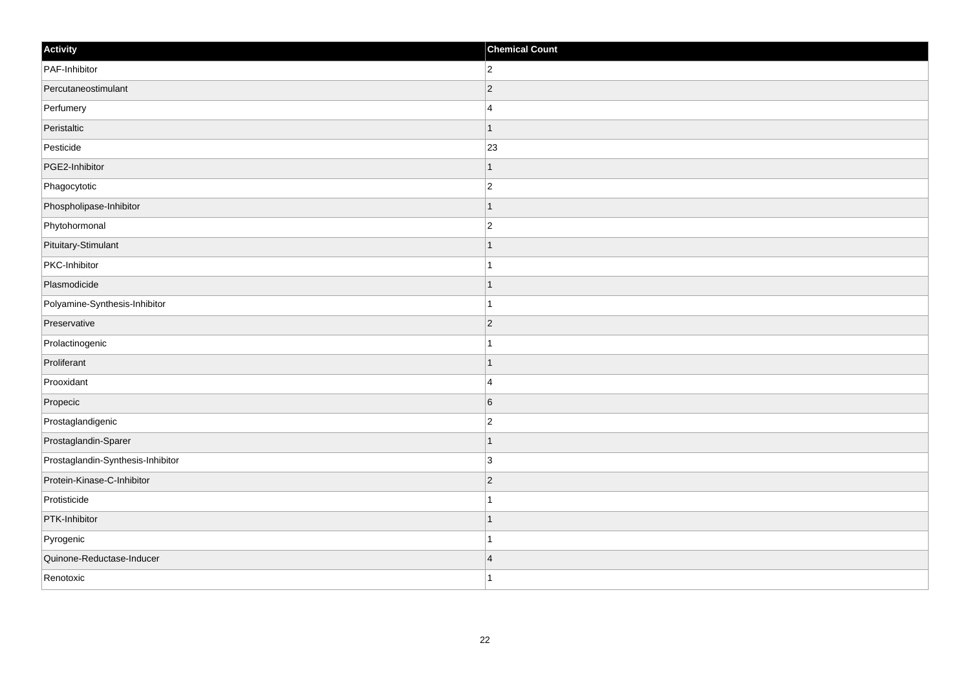| Activity                          | <b>Chemical Count</b> |
|-----------------------------------|-----------------------|
| PAF-Inhibitor                     | $ 2\rangle$           |
| Percutaneostimulant               | $ 2\rangle$           |
| Perfumery                         | 4                     |
| Peristaltic                       | $\mathbf{1}$          |
| Pesticide                         | 23                    |
| PGE2-Inhibitor                    | $\mathbf{1}$          |
| Phagocytotic                      | $ 2\rangle$           |
| Phospholipase-Inhibitor           | $\mathbf{1}$          |
| Phytohormonal                     | $\overline{2}$        |
| Pituitary-Stimulant               | $\vert$ 1             |
| PKC-Inhibitor                     | $\vert$ 1             |
| Plasmodicide                      | $\mathbf{1}$          |
| Polyamine-Synthesis-Inhibitor     | $\mathbf{1}$          |
| Preservative                      | $ 2\rangle$           |
| Prolactinogenic                   | $\mathbf{1}$          |
| Proliferant                       | $\mathbf{1}$          |
| Prooxidant                        | 4                     |
| Propecic                          | 6                     |
| Prostaglandigenic                 | $\vert$ 2             |
| Prostaglandin-Sparer              | $\mathbf{1}$          |
| Prostaglandin-Synthesis-Inhibitor | 3                     |
| Protein-Kinase-C-Inhibitor        | $ 2\rangle$           |
| Protisticide                      | $\mathbf{1}$          |
| PTK-Inhibitor                     | $\mathbf{1}$          |
| Pyrogenic                         | $\mathbf{1}$          |
| Quinone-Reductase-Inducer         | $\vert 4$             |
| Renotoxic                         | $\vert$ 1             |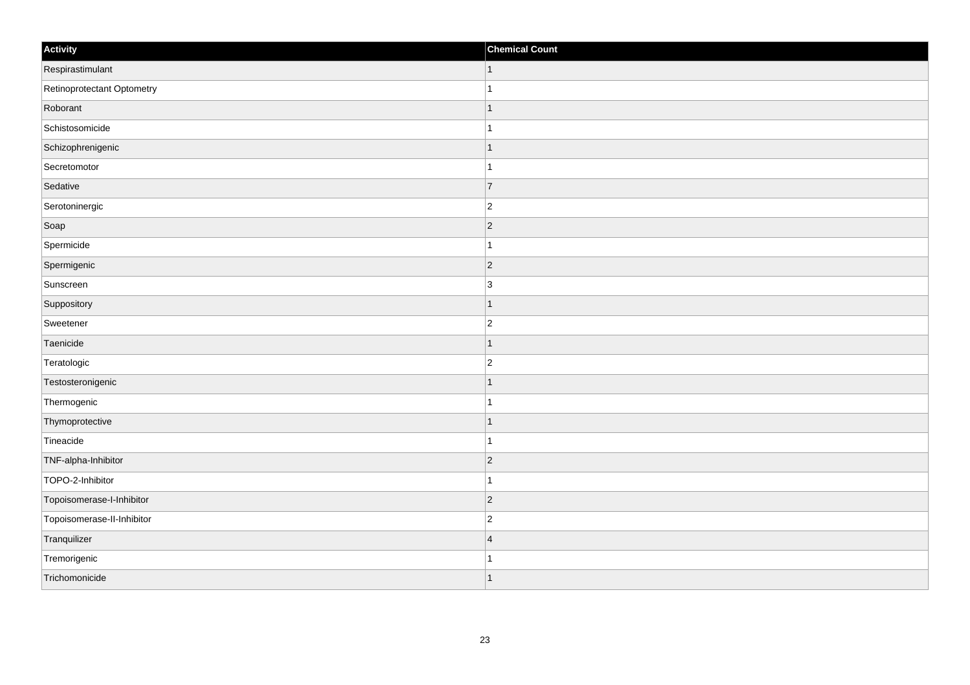| Activity                          | <b>Chemical Count</b> |
|-----------------------------------|-----------------------|
| Respirastimulant                  | $\vert$ 1             |
| <b>Retinoprotectant Optometry</b> | $\overline{1}$        |
| Roborant                          |                       |
| Schistosomicide                   | 1                     |
| Schizophrenigenic                 |                       |
| Secretomotor                      |                       |
| Sedative                          | $\overline{7}$        |
| Serotoninergic                    | $\overline{c}$        |
| Soap                              | 2                     |
| Spermicide                        | $\mathbf{1}$          |
| Spermigenic                       | $\overline{2}$        |
| Sunscreen                         | 3                     |
| Suppository                       | $\vert$ 1             |
| Sweetener                         | $\overline{2}$        |
| Taenicide                         |                       |
| Teratologic                       | $\overline{c}$        |
| Testosteronigenic                 |                       |
| Thermogenic                       |                       |
| Thymoprotective                   | $\vert$ 1             |
| Tineacide                         | $\overline{1}$        |
| TNF-alpha-Inhibitor               | $ 2\rangle$           |
| TOPO-2-Inhibitor                  | $\mathbf{1}$          |
| Topoisomerase-I-Inhibitor         | $ 2\rangle$           |
| Topoisomerase-II-Inhibitor        | $\overline{c}$        |
| Tranquilizer                      | $\overline{4}$        |
| Tremorigenic                      | -1                    |
| Trichomonicide                    | $\overline{1}$        |